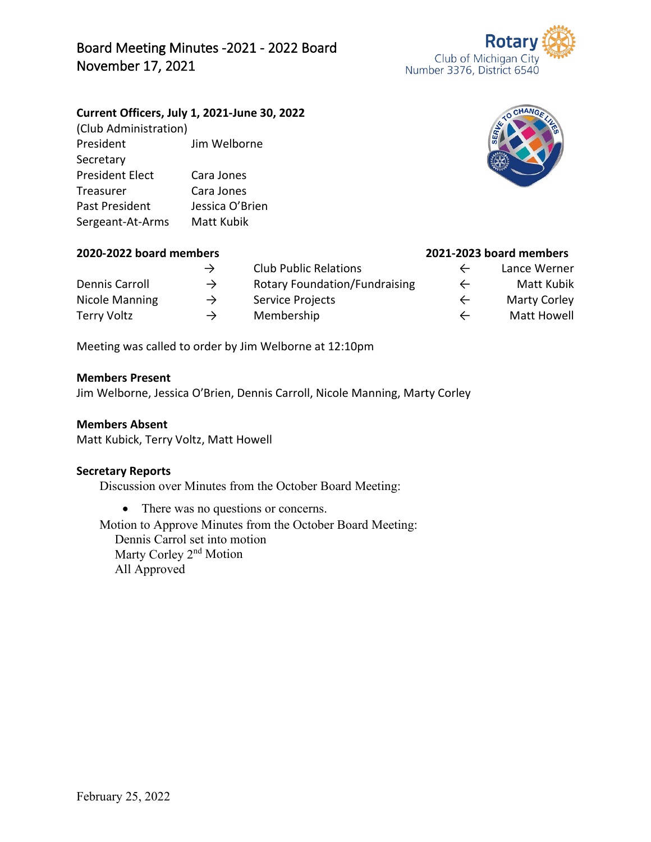## Board Meeting Minutes -2021 - 2022 Board November 17, 2021

### **Current Officers, July 1, 2021-June 30, 2022**

(Club Administration) President Jim Welborne Secretary President Elect Cara Jones Treasurer Cara Jones Past President Jessica O'Brien Sergeant-At-Arms Matt Kubik

# **2020-2022 board members 2021-2023 board members**

|                |               | <b>Club Public Relations</b>         | $\leftarrow$ | Lance Werner        |
|----------------|---------------|--------------------------------------|--------------|---------------------|
| Dennis Carroll | $\rightarrow$ | <b>Rotary Foundation/Fundraising</b> | $\leftarrow$ | <b>Matt Kubik</b>   |
| Nicole Manning | $\rightarrow$ | Service Projects                     | $\leftarrow$ | <b>Marty Corley</b> |
| Terry Voltz    | $\rightarrow$ | Membership                           |              | <b>Matt Howell</b>  |

Meeting was called to order by Jim Welborne at 12:10pm

#### **Members Present**

Jim Welborne, Jessica O'Brien, Dennis Carroll, Nicole Manning, Marty Corley

#### **Members Absent**

Matt Kubick, Terry Voltz, Matt Howell

#### **Secretary Reports**

Discussion over Minutes from the October Board Meeting:

• There was no questions or concerns.

Motion to Approve Minutes from the October Board Meeting: Dennis Carrol set into motion Marty Corley 2<sup>nd</sup> Motion All Approved





- -
- 
-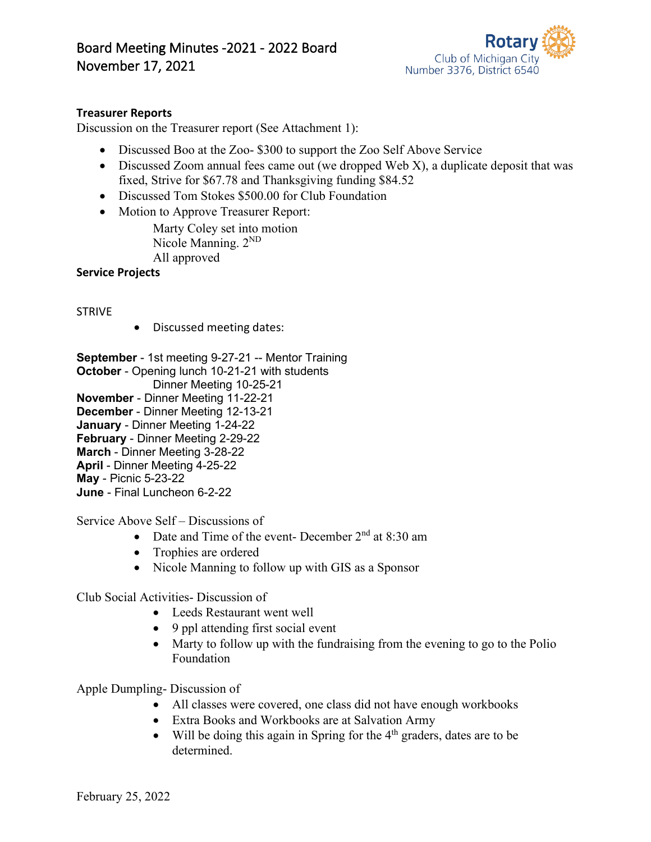

#### **Treasurer Reports**

Discussion on the Treasurer report (See Attachment 1):

- Discussed Boo at the Zoo- \$300 to support the Zoo Self Above Service
- Discussed Zoom annual fees came out (we dropped Web X), a duplicate deposit that was fixed, Strive for \$67.78 and Thanksgiving funding \$84.52
- Discussed Tom Stokes \$500.00 for Club Foundation
- Motion to Approve Treasurer Report: Marty Coley set into motion

Nicole Manning.  $2^{ND}$ All approved

**Service Projects**

STRIVE

• Discussed meeting dates:

**September** - 1st meeting 9-27-21 -- Mentor Training **October** - Opening lunch 10-21-21 with students Dinner Meeting 10-25-21 **November** - Dinner Meeting 11-22-21 **December** - Dinner Meeting 12-13-21 **January** - Dinner Meeting 1-24-22 **February** - Dinner Meeting 2-29-22 **March** - Dinner Meeting 3-28-22 **April** - Dinner Meeting 4-25-22 **May** - Picnic 5-23-22 **June** - Final Luncheon 6-2-22

Service Above Self – Discussions of

- Date and Time of the event- December  $2<sup>nd</sup>$  at 8:30 am
- Trophies are ordered
- Nicole Manning to follow up with GIS as a Sponsor

Club Social Activities- Discussion of

- Leeds Restaurant went well
- 9 ppl attending first social event
- Marty to follow up with the fundraising from the evening to go to the Polio Foundation

Apple Dumpling- Discussion of

- All classes were covered, one class did not have enough workbooks
- Extra Books and Workbooks are at Salvation Army
- Will be doing this again in Spring for the  $4<sup>th</sup>$  graders, dates are to be determined.